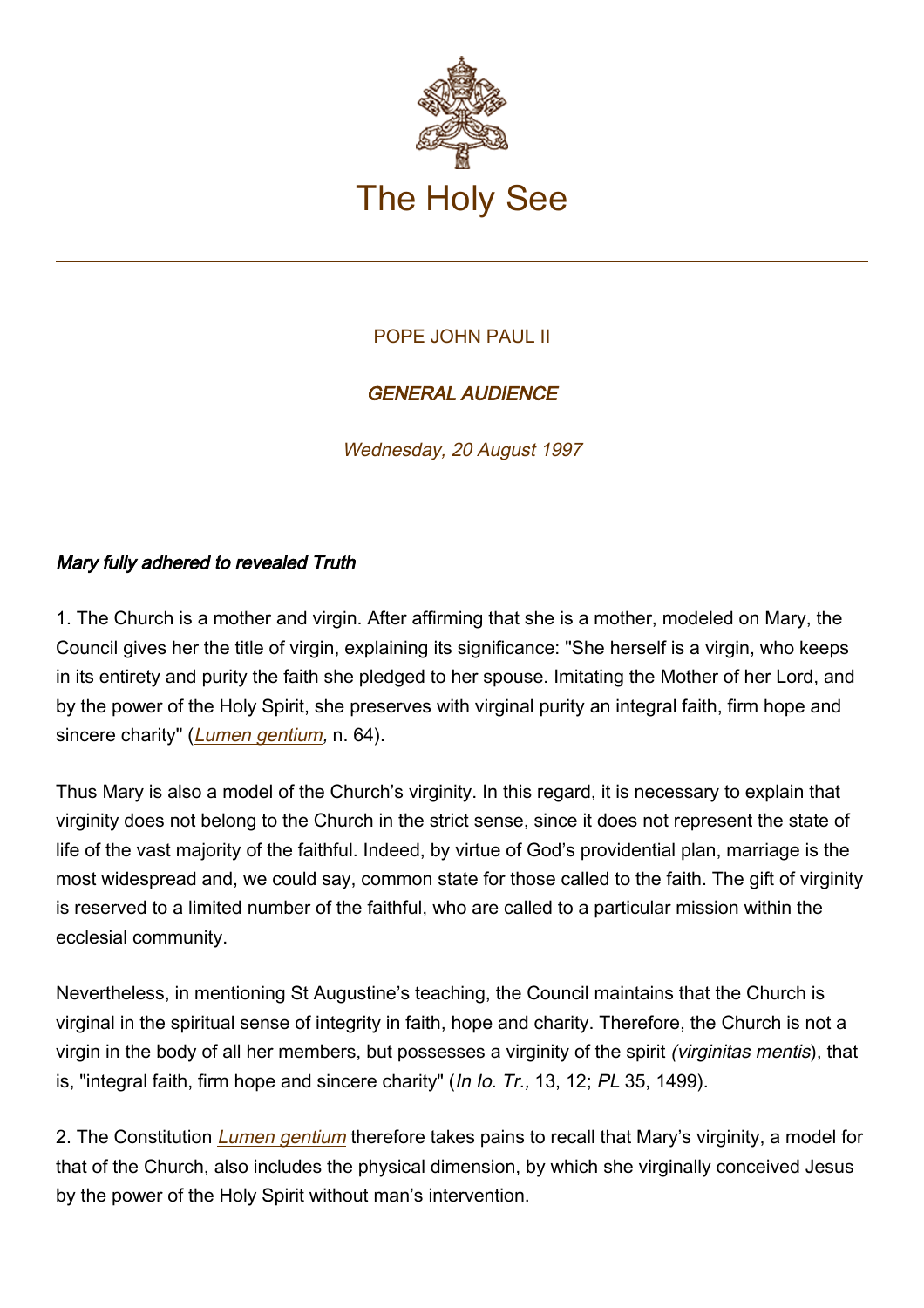

## POPE JOHN PAUL II

## GENERAL AUDIENCE

Wednesday, 20 August 1997

## Mary fully adhered to revealed Truth

1. The Church is a mother and virgin. After affirming that she is a mother, modeled on Mary, the Council gives her the title of virgin, explaining its significance: "She herself is a virgin, who keeps in its entirety and purity the faith she pledged to her spouse. Imitating the Mother of her Lord, and by the power of the Holy Spirit, she preserves with virginal purity an integral faith, firm hope and sincere charity" (*[Lumen gentium](http://www.vatican.va/archive/hist_councils/ii_vatican_council/documents/vat-ii_const_19641121_lumen-gentium_en.html)*, n. 64).

Thus Mary is also a model of the Church's virginity. In this regard, it is necessary to explain that virginity does not belong to the Church in the strict sense, since it does not represent the state of life of the vast majority of the faithful. Indeed, by virtue of God's providential plan, marriage is the most widespread and, we could say, common state for those called to the faith. The gift of virginity is reserved to a limited number of the faithful, who are called to a particular mission within the ecclesial community.

Nevertheless, in mentioning St Augustine's teaching, the Council maintains that the Church is virginal in the spiritual sense of integrity in faith, hope and charity. Therefore, the Church is not a virgin in the body of all her members, but possesses a virginity of the spirit (virginitas mentis), that is, "integral faith, firm hope and sincere charity" (In Io. Tr., 13, 12; PL 35, 1499).

2. The Constitution *[Lumen gentium](http://www.vatican.va/archive/hist_councils/ii_vatican_council/documents/vat-ii_const_19641121_lumen-gentium_en.html)* therefore takes pains to recall that Mary's virginity, a model for that of the Church, also includes the physical dimension, by which she virginally conceived Jesus by the power of the Holy Spirit without man's intervention.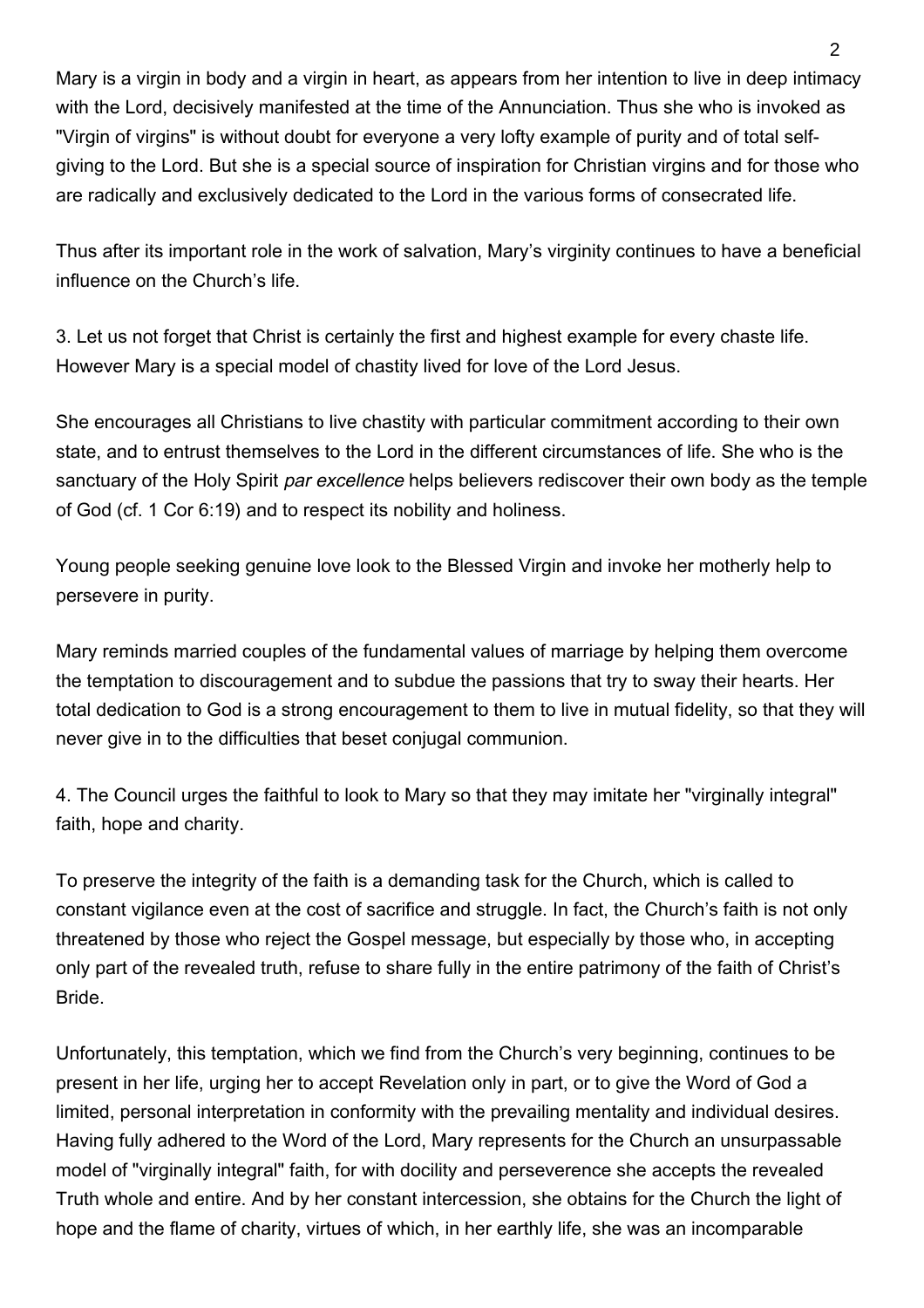Mary is a virgin in body and a virgin in heart, as appears from her intention to live in deep intimacy with the Lord, decisively manifested at the time of the Annunciation. Thus she who is invoked as "Virgin of virgins" is without doubt for everyone a very lofty example of purity and of total selfgiving to the Lord. But she is a special source of inspiration for Christian virgins and for those who are radically and exclusively dedicated to the Lord in the various forms of consecrated life.

Thus after its important role in the work of salvation, Mary's virginity continues to have a beneficial influence on the Church's life.

3. Let us not forget that Christ is certainly the first and highest example for every chaste life. However Mary is a special model of chastity lived for love of the Lord Jesus.

She encourages all Christians to live chastity with particular commitment according to their own state, and to entrust themselves to the Lord in the different circumstances of life. She who is the sanctuary of the Holy Spirit *par excellence* helps believers rediscover their own body as the temple of God (cf. 1 Cor 6:19) and to respect its nobility and holiness.

Young people seeking genuine love look to the Blessed Virgin and invoke her motherly help to persevere in purity.

Mary reminds married couples of the fundamental values of marriage by helping them overcome the temptation to discouragement and to subdue the passions that try to sway their hearts. Her total dedication to God is a strong encouragement to them to live in mutual fidelity, so that they will never give in to the difficulties that beset conjugal communion.

4. The Council urges the faithful to look to Mary so that they may imitate her "virginally integral" faith, hope and charity.

To preserve the integrity of the faith is a demanding task for the Church, which is called to constant vigilance even at the cost of sacrifice and struggle. In fact, the Church's faith is not only threatened by those who reject the Gospel message, but especially by those who, in accepting only part of the revealed truth, refuse to share fully in the entire patrimony of the faith of Christ's Bride.

Unfortunately, this temptation, which we find from the Church's very beginning, continues to be present in her life, urging her to accept Revelation only in part, or to give the Word of God a limited, personal interpretation in conformity with the prevailing mentality and individual desires. Having fully adhered to the Word of the Lord, Mary represents for the Church an unsurpassable model of "virginally integral" faith, for with docility and perseverence she accepts the revealed Truth whole and entire. And by her constant intercession, she obtains for the Church the light of hope and the flame of charity, virtues of which, in her earthly life, she was an incomparable